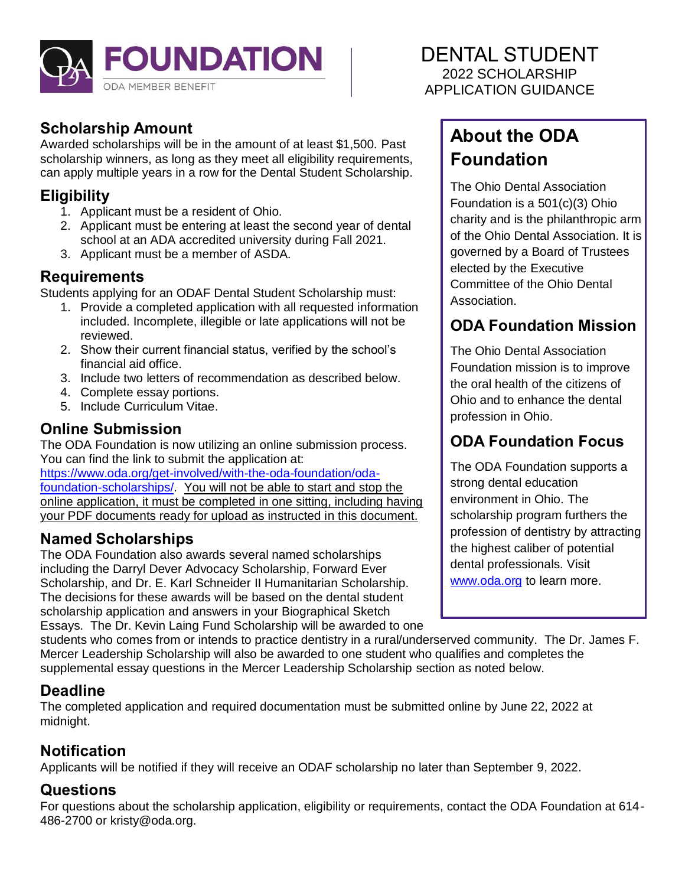

## **Scholarship Amount**

Awarded scholarships will be in the amount of at least \$1,500. Past scholarship winners, as long as they meet all eligibility requirements, can apply multiple years in a row for the Dental Student Scholarship.

### **Eligibility**

- 1. Applicant must be a resident of Ohio.
- 2. Applicant must be entering at least the second year of dental school at an ADA accredited university during Fall 2021.
- 3. Applicant must be a member of ASDA.

### **Requirements**

Students applying for an ODAF Dental Student Scholarship must:

- 1. Provide a completed application with all requested information included. Incomplete, illegible or late applications will not be reviewed.
- 2. Show their current financial status, verified by the school's financial aid office.
- 3. Include two letters of recommendation as described below.
- 4. Complete essay portions.
- 5. Include Curriculum Vitae.

### **Online Submission**

The ODA Foundation is now utilizing an online submission process. You can find the link to submit the application at:

[https://www.oda.org/get-involved/with-the-oda-foundation/oda](https://www.oda.org/get-involved/with-the-oda-foundation/oda-foundation-scholarships/)[foundation-scholarships/.](https://www.oda.org/get-involved/with-the-oda-foundation/oda-foundation-scholarships/) You will not be able to start and stop the online application, it must be completed in one sitting, including having your PDF documents ready for upload as instructed in this document.

## **Named Scholarships**

The ODA Foundation also awards several named scholarships including the Darryl Dever Advocacy Scholarship, Forward Ever Scholarship, and Dr. E. Karl Schneider II Humanitarian Scholarship. The decisions for these awards will be based on the dental student scholarship application and answers in your Biographical Sketch Essays. The Dr. Kevin Laing Fund Scholarship will be awarded to one

DENTAL STUDENT 2022 SCHOLARSHIP APPLICATION GUIDANCE

# **About the ODA Foundation**

The Ohio Dental Association Foundation is a 501(c)(3) Ohio charity and is the philanthropic arm of the Ohio Dental Association. It is governed by a Board of Trustees elected by the Executive Committee of the Ohio Dental Association.

## **ODA Foundation Mission**

The Ohio Dental Association Foundation mission is to improve the oral health of the citizens of Ohio and to enhance the dental profession in Ohio.

## **ODA Foundation Focus**

The ODA Foundation supports a strong dental education environment in Ohio. The scholarship program furthers the profession of dentistry by attracting the highest caliber of potential dental professionals. Visit [www.oda.org](http://www.oda.org/) to learn more.

students who comes from or intends to practice dentistry in a rural/underserved community. The Dr. James F. Mercer Leadership Scholarship will also be awarded to one student who qualifies and completes the supplemental essay questions in the Mercer Leadership Scholarship section as noted below.

## **Deadline**

The completed application and required documentation must be submitted online by June 22, 2022 at midnight.

## **Notification**

Applicants will be notified if they will receive an ODAF scholarship no later than September 9, 2022.

### **Questions**

For questions about the scholarship application, eligibility or requirements, contact the ODA Foundation at 614- 486-2700 or kristy@oda.org.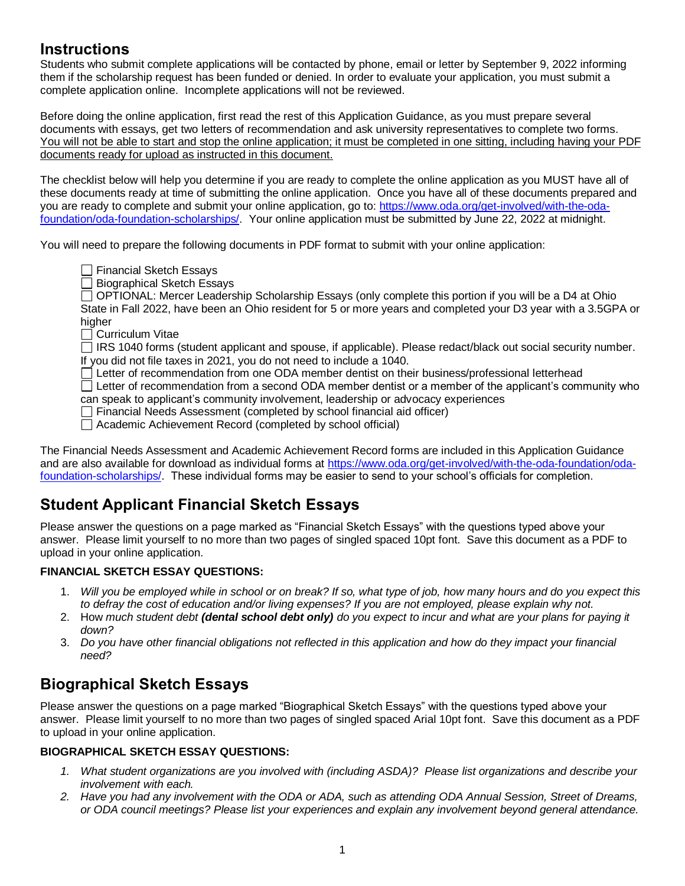### **Instructions**

Students who submit complete applications will be contacted by phone, email or letter by September 9, 2022 informing them if the scholarship request has been funded or denied. In order to evaluate your application, you must submit a complete application online. Incomplete applications will not be reviewed.

Before doing the online application, first read the rest of this Application Guidance, as you must prepare several documents with essays, get two letters of recommendation and ask university representatives to complete two forms. You will not be able to start and stop the online application; it must be completed in one sitting, including having your PDF documents ready for upload as instructed in this document.

The checklist below will help you determine if you are ready to complete the online application as you MUST have all of these documents ready at time of submitting the online application. Once you have all of these documents prepared and you are ready to complete and submit your online application, go to: [https://www.oda.org/get-involved/with-the-oda](https://www.oda.org/get-involved/with-the-oda-foundation/oda-foundation-scholarships/)[foundation/oda-foundation-scholarships/.](https://www.oda.org/get-involved/with-the-oda-foundation/oda-foundation-scholarships/) Your online application must be submitted by June 22, 2022 at midnight.

You will need to prepare the following documents in PDF format to submit with your online application:

- □ Financial Sketch Essays
- $\Box$  Biographical Sketch Essays

OPTIONAL: Mercer Leadership Scholarship Essays (only complete this portion if you will be a D4 at Ohio State in Fall 2022, have been an Ohio resident for 5 or more years and completed your D3 year with a 3.5GPA or higher

 $\Box$  Curriculum Vitae

□ IRS 1040 forms (student applicant and spouse, if applicable). Please redact/black out social security number. If you did not file taxes in 2021, you do not need to include a 1040.

 $\Box$  Letter of recommendation from one ODA member dentist on their business/professional letterhead

 $\Box$  Letter of recommendation from a second ODA member dentist or a member of the applicant's community who can speak to applicant's community involvement, leadership or advocacy experiences

□ Financial Needs Assessment (completed by school financial aid officer)

Academic Achievement Record (completed by school official)

The Financial Needs Assessment and Academic Achievement Record forms are included in this Application Guidance and are also available for download as individual forms at [https://www.oda.org/get-involved/with-the-oda-foundation/oda](https://www.oda.org/get-involved/with-the-oda-foundation/oda-foundation-scholarships/)[foundation-scholarships/](https://www.oda.org/get-involved/with-the-oda-foundation/oda-foundation-scholarships/). These individual forms may be easier to send to your school's officials for completion.

### **Student Applicant Financial Sketch Essays**

Please answer the questions on a page marked as "Financial Sketch Essays" with the questions typed above your answer. Please limit yourself to no more than two pages of singled spaced 10pt font. Save this document as a PDF to upload in your online application.

#### **FINANCIAL SKETCH ESSAY QUESTIONS:**

- 1. *Will you be employed while in school or on break? If so, what type of job, how many hours and do you expect this to defray the cost of education and/or living expenses? If you are not employed, please explain why not.*
- 2. How *much student debt (dental school debt only) do you expect to incur and what are your plans for paying it down?*
- 3. *Do you have other financial obligations not reflected in this application and how do they impact your financial need?*

## **Biographical Sketch Essays**

Please answer the questions on a page marked "Biographical Sketch Essays" with the questions typed above your answer. Please limit yourself to no more than two pages of singled spaced Arial 10pt font. Save this document as a PDF to upload in your online application.

#### **BIOGRAPHICAL SKETCH ESSAY QUESTIONS:**

- *1. What student organizations are you involved with (including ASDA)? Please list organizations and describe your involvement with each.*
- *2. Have you had any involvement with the ODA or ADA, such as attending ODA Annual Session, Street of Dreams, or ODA council meetings? Please list your experiences and explain any involvement beyond general attendance.*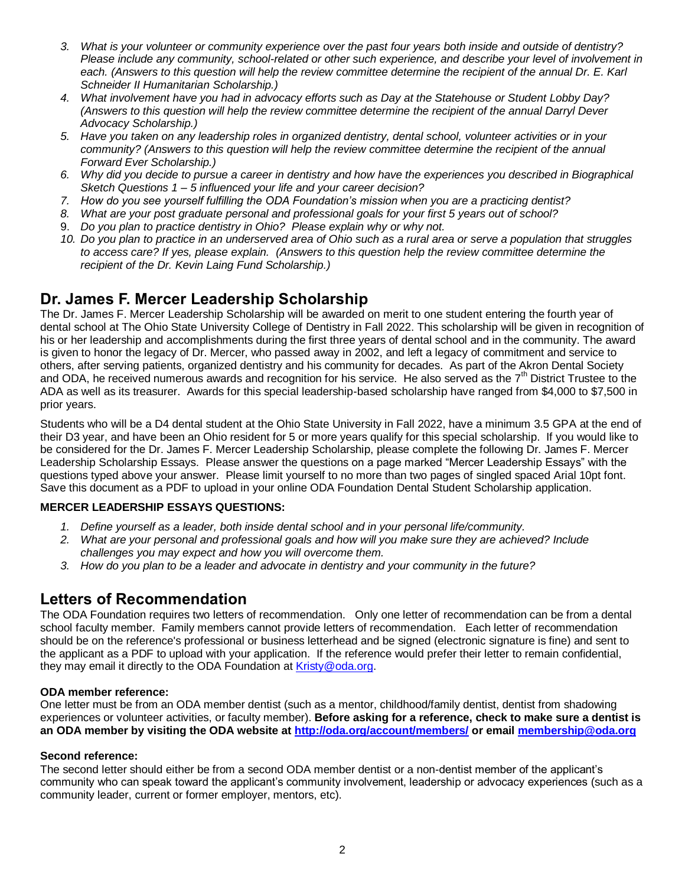- *3. What is your volunteer or community experience over the past four years both inside and outside of dentistry? Please include any community, school-related or other such experience, and describe your level of involvement in each. (Answers to this question will help the review committee determine the recipient of the annual Dr. E. Karl Schneider II Humanitarian Scholarship.)*
- *4. What involvement have you had in advocacy efforts such as Day at the Statehouse or Student Lobby Day? (Answers to this question will help the review committee determine the recipient of the annual Darryl Dever Advocacy Scholarship.)*
- *5. Have you taken on any leadership roles in organized dentistry, dental school, volunteer activities or in your community? (Answers to this question will help the review committee determine the recipient of the annual Forward Ever Scholarship.)*
- *6. Why did you decide to pursue a career in dentistry and how have the experiences you described in Biographical Sketch Questions 1 – 5 influenced your life and your career decision?*
- *7. How do you see yourself fulfilling the ODA Foundation's mission when you are a practicing dentist?*
- *8. What are your post graduate personal and professional goals for your first 5 years out of school?*
- 9. *Do you plan to practice dentistry in Ohio? Please explain why or why not.*
- *10. Do you plan to practice in an underserved area of Ohio such as a rural area or serve a population that struggles to access care? If yes, please explain. (Answers to this question help the review committee determine the recipient of the Dr. Kevin Laing Fund Scholarship.)*

#### **Dr. James F. Mercer Leadership Scholarship**

The Dr. James F. Mercer Leadership Scholarship will be awarded on merit to one student entering the fourth year of dental school at The Ohio State University College of Dentistry in Fall 2022. This scholarship will be given in recognition of his or her leadership and accomplishments during the first three years of dental school and in the community. The award is given to honor the legacy of Dr. Mercer, who passed away in 2002, and left a legacy of commitment and service to others, after serving patients, organized dentistry and his community for decades. As part of the Akron Dental Society and ODA, he received numerous awards and recognition for his service. He also served as the 7<sup>th</sup> District Trustee to the ADA as well as its treasurer. Awards for this special leadership-based scholarship have ranged from \$4,000 to \$7,500 in prior years.

Students who will be a D4 dental student at the Ohio State University in Fall 2022, have a minimum 3.5 GPA at the end of their D3 year, and have been an Ohio resident for 5 or more years qualify for this special scholarship. If you would like to be considered for the Dr. James F. Mercer Leadership Scholarship, please complete the following Dr. James F. Mercer Leadership Scholarship Essays. Please answer the questions on a page marked "Mercer Leadership Essays" with the questions typed above your answer. Please limit yourself to no more than two pages of singled spaced Arial 10pt font. Save this document as a PDF to upload in your online ODA Foundation Dental Student Scholarship application.

#### **MERCER LEADERSHIP ESSAYS QUESTIONS:**

- *1. Define yourself as a leader, both inside dental school and in your personal life/community.*
- *2. What are your personal and professional goals and how will you make sure they are achieved? Include challenges you may expect and how you will overcome them.*
- *3. How do you plan to be a leader and advocate in dentistry and your community in the future?*

#### **Letters of Recommendation**

The ODA Foundation requires two letters of recommendation. Only one letter of recommendation can be from a dental school faculty member. Family members cannot provide letters of recommendation. Each letter of recommendation should be on the reference's professional or business letterhead and be signed (electronic signature is fine) and sent to the applicant as a PDF to upload with your application. If the reference would prefer their letter to remain confidential, they may email it directly to the ODA Foundation at [Kristy@oda.org.](mailto:Kristy@oda.org)

#### **ODA member reference:**

One letter must be from an ODA member dentist (such as a mentor, childhood/family dentist, dentist from shadowing experiences or volunteer activities, or faculty member). **Before asking for a reference, check to make sure a dentist is an ODA member by visiting the ODA website at<http://oda.org/account/members/> or emai[l membership@oda.org](mailto:membership@oda.org)**

#### **Second reference:**

The second letter should either be from a second ODA member dentist or a non-dentist member of the applicant's community who can speak toward the applicant's community involvement, leadership or advocacy experiences (such as a community leader, current or former employer, mentors, etc).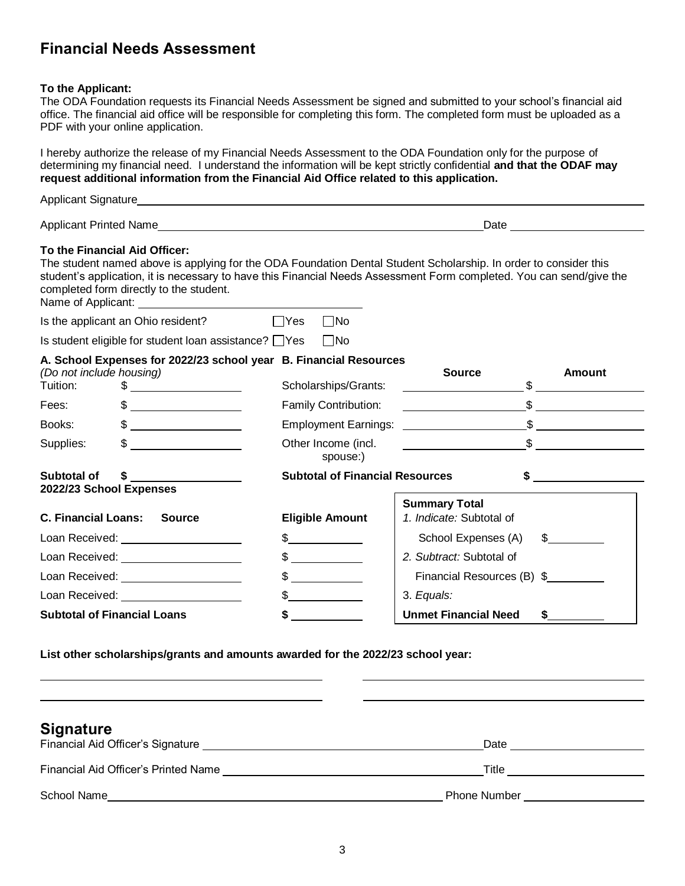### **Financial Needs Assessment**

#### **To the Applicant:**

The ODA Foundation requests its Financial Needs Assessment be signed and submitted to your school's financial aid office. The financial aid office will be responsible for completing this form. The completed form must be uploaded as a PDF with your online application.

I hereby authorize the release of my Financial Needs Assessment to the ODA Foundation only for the purpose of determining my financial need. I understand the information will be kept strictly confidential **and that the ODAF may request additional information from the Financial Aid Office related to this application.**

|                                                               |                                                                                                                                                                                                                                                                                                                                                                     |                                                                                                                                                                                                                                                                               | Date <u>_______________</u> |  |
|---------------------------------------------------------------|---------------------------------------------------------------------------------------------------------------------------------------------------------------------------------------------------------------------------------------------------------------------------------------------------------------------------------------------------------------------|-------------------------------------------------------------------------------------------------------------------------------------------------------------------------------------------------------------------------------------------------------------------------------|-----------------------------|--|
|                                                               | To the Financial Aid Officer:<br>completed form directly to the student.                                                                                                                                                                                                                                                                                            | The student named above is applying for the ODA Foundation Dental Student Scholarship. In order to consider this<br>student's application, it is necessary to have this Financial Needs Assessment Form completed. You can send/give the                                      |                             |  |
| $\Box$ Yes<br>$\Box$ No<br>Is the applicant an Ohio resident? |                                                                                                                                                                                                                                                                                                                                                                     |                                                                                                                                                                                                                                                                               |                             |  |
|                                                               | Is student eligible for student loan assistance? $\Box$ Yes $\Box$ No                                                                                                                                                                                                                                                                                               |                                                                                                                                                                                                                                                                               |                             |  |
| (Do not include housing)<br>Tuition:                          | A. School Expenses for 2022/23 school year B. Financial Resources<br>$\frac{1}{2}$                                                                                                                                                                                                                                                                                  | <b>Source</b><br>Scholarships/Grants:<br><u>and the community of the community of the community of the community of the community of the community of the community of the community of the community of the community of the community of the community of the community</u> | Amount                      |  |
| Fees:                                                         | $\begin{picture}(20,10) \put(0,0){\vector(1,0){100}} \put(15,0){\vector(1,0){100}} \put(15,0){\vector(1,0){100}} \put(15,0){\vector(1,0){100}} \put(15,0){\vector(1,0){100}} \put(15,0){\vector(1,0){100}} \put(15,0){\vector(1,0){100}} \put(15,0){\vector(1,0){100}} \put(15,0){\vector(1,0){100}} \put(15,0){\vector(1,0){100}} \put(15,0){\vector(1,0){100}} \$ | Family Contribution:                                                                                                                                                                                                                                                          | $\frac{1}{2}$               |  |
| Books:                                                        | $\frac{1}{2}$                                                                                                                                                                                                                                                                                                                                                       | <b>Employment Earnings:</b> Employment Earnings:                                                                                                                                                                                                                              | $\mathcal{S}$               |  |
| Supplies:                                                     |                                                                                                                                                                                                                                                                                                                                                                     | Other Income (incl.<br>spouse:)                                                                                                                                                                                                                                               | $\frac{1}{2}$               |  |
| Subtotal of<br>2022/23 School Expenses                        |                                                                                                                                                                                                                                                                                                                                                                     | <b>Subtotal of Financial Resources</b>                                                                                                                                                                                                                                        |                             |  |

| ZUZZIZJ JUNUUL LADENSES                                                                                                                                                                                                        |                                                                                                                                                                                                                                                                                                  |                                                  |  |  |
|--------------------------------------------------------------------------------------------------------------------------------------------------------------------------------------------------------------------------------|--------------------------------------------------------------------------------------------------------------------------------------------------------------------------------------------------------------------------------------------------------------------------------------------------|--------------------------------------------------|--|--|
| <b>C. Financial Loans:</b><br><b>Source</b>                                                                                                                                                                                    | <b>Eligible Amount</b>                                                                                                                                                                                                                                                                           | <b>Summary Total</b><br>1. Indicate: Subtotal of |  |  |
| Loan Received: <u>_________________</u>                                                                                                                                                                                        | $\frac{1}{2}$                                                                                                                                                                                                                                                                                    | School Expenses (A)<br>$\frac{1}{2}$             |  |  |
| Loan Received: Note that the state of the state of the state of the state of the state of the state of the state of the state of the state of the state of the state of the state of the state of the state of the state of th |                                                                                                                                                                                                                                                                                                  | 2. Subtract: Subtotal of                         |  |  |
| Loan Received: Note that the state of the state of the state of the state of the state of the state of the state of the state of the state of the state of the state of the state of the state of the state of the state of th | $\mathbb{S}$ and $\mathbb{S}$ and $\mathbb{S}$ and $\mathbb{S}$ and $\mathbb{S}$ and $\mathbb{S}$ and $\mathbb{S}$ and $\mathbb{S}$ and $\mathbb{S}$ and $\mathbb{S}$ and $\mathbb{S}$ and $\mathbb{S}$ and $\mathbb{S}$ and $\mathbb{S}$ and $\mathbb{S}$ and $\mathbb{S}$ and $\mathbb{S}$ and | Financial Resources (B) \$                       |  |  |
| Loan Received: North States and States and States and States and States and States and States and States and States and States and States and States and States and States and States and States and States and States and Sta |                                                                                                                                                                                                                                                                                                  | 3. Equals:                                       |  |  |
| <b>Subtotal of Financial Loans</b>                                                                                                                                                                                             |                                                                                                                                                                                                                                                                                                  | <b>Unmet Financial Need</b>                      |  |  |

**List other scholarships/grants and amounts awarded for the 2022/23 school year:** 

| <b>Signature</b>                            | Date                             |
|---------------------------------------------|----------------------------------|
| <b>Financial Aid Officer's Printed Name</b> | Title                            |
| School Name                                 | <b>Phone Number Example 2014</b> |